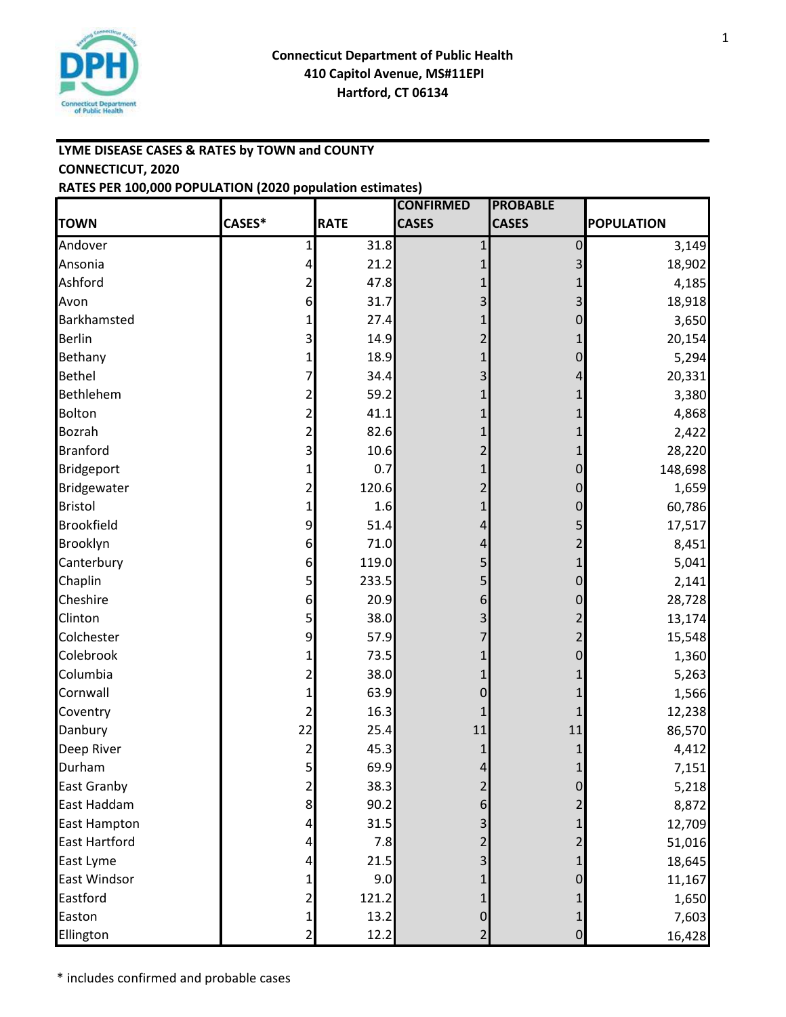

## **LYME DISEASE CASES & RATES by TOWN and COUNTY CONNECTICUT, 2020 RATES PER 100,000 POPULATION (2020 population estimates)**

|                      |                         |             | <b>CONFIRMED</b> | <b>PROBABLE</b> |                   |
|----------------------|-------------------------|-------------|------------------|-----------------|-------------------|
| <b>TOWN</b>          | CASES*                  | <b>RATE</b> | <b>CASES</b>     | <b>CASES</b>    | <b>POPULATION</b> |
| Andover              | 1                       | 31.8        | 1                | 0               | 3,149             |
| Ansonia              | $\overline{\mathbf{r}}$ | 21.2        | 1                | 3               | 18,902            |
| Ashford              | 2                       | 47.8        |                  |                 | 4,185             |
| Avon                 | 6                       | 31.7        | 3                | 3               | 18,918            |
| Barkhamsted          | 1                       | 27.4        |                  | 0               | 3,650             |
| <b>Berlin</b>        | 3                       | 14.9        | 2                |                 | 20,154            |
| Bethany              | 1                       | 18.9        | 1                | $\mathbf 0$     | 5,294             |
| <b>Bethel</b>        | 7                       | 34.4        | 3                | 4               | 20,331            |
| Bethlehem            | $\overline{c}$          | 59.2        |                  |                 | 3,380             |
| Bolton               | $\overline{2}$          | 41.1        |                  |                 | 4,868             |
| Bozrah               | $\overline{2}$          | 82.6        |                  |                 | 2,422             |
| <b>Branford</b>      | $\overline{\mathbf{3}}$ | 10.6        | 2                |                 | 28,220            |
| Bridgeport           | 1                       | 0.7         |                  | 0               | 148,698           |
| Bridgewater          | $\overline{2}$          | 120.6       | 2                | $\mathbf 0$     | 1,659             |
| <b>Bristol</b>       | $\mathbf{1}$            | 1.6         | 1                | $\mathbf 0$     | 60,786            |
| <b>Brookfield</b>    | 9                       | 51.4        | 4                | 5               | 17,517            |
| Brooklyn             | $6 \mid$                | 71.0        | 4                |                 | 8,451             |
| Canterbury           | 6                       | 119.0       | 5                |                 | 5,041             |
| Chaplin              | 5                       | 233.5       | 5                | 0               | 2,141             |
| Cheshire             | 6                       | 20.9        | 6                | 0               | 28,728            |
| Clinton              | 5                       | 38.0        | 3                |                 | 13,174            |
| Colchester           | 9                       | 57.9        |                  |                 | 15,548            |
| Colebrook            | $\mathbf{1}$            | 73.5        |                  | $\mathbf 0$     | 1,360             |
| Columbia             | $\overline{2}$          | 38.0        |                  |                 | 5,263             |
| Cornwall             | 1                       | 63.9        | 0                |                 | 1,566             |
| Coventry             | $\mathbf{2}$            | 16.3        |                  |                 | 12,238            |
| Danbury              | 22                      | 25.4        | 11               | 11              | 86,570            |
| Deep River           | $\overline{c}$          | 45.3        |                  |                 | 4,412             |
| Durham               | 5 <sub>l</sub>          | 69.9        | $\overline{4}$   | 1               | 7,151             |
| East Granby          | 2                       | 38.3        | 2                | 0               | 5,218             |
| East Haddam          | $\boldsymbol{8}$        | 90.2        | $\,$ 6           |                 | 8,872             |
| <b>East Hampton</b>  | 4                       | 31.5        | 3                |                 | 12,709            |
| <b>East Hartford</b> | 4                       | 7.8         | 2                |                 | 51,016            |
| East Lyme            | 4                       | 21.5        | 3                |                 | 18,645            |
| East Windsor         | 1                       | 9.0         |                  | 0               | 11,167            |
| Eastford             | $\mathbf{2}$            | 121.2       | 1                |                 | 1,650             |
| Easton               | $\mathbf{1}$            | 13.2        | $\pmb{0}$        | 1               | 7,603             |
| Ellington            | $\overline{a}$          | 12.2        | $\overline{2}$   | $\pmb{0}$       | 16,428            |

\* includes confirmed and probable cases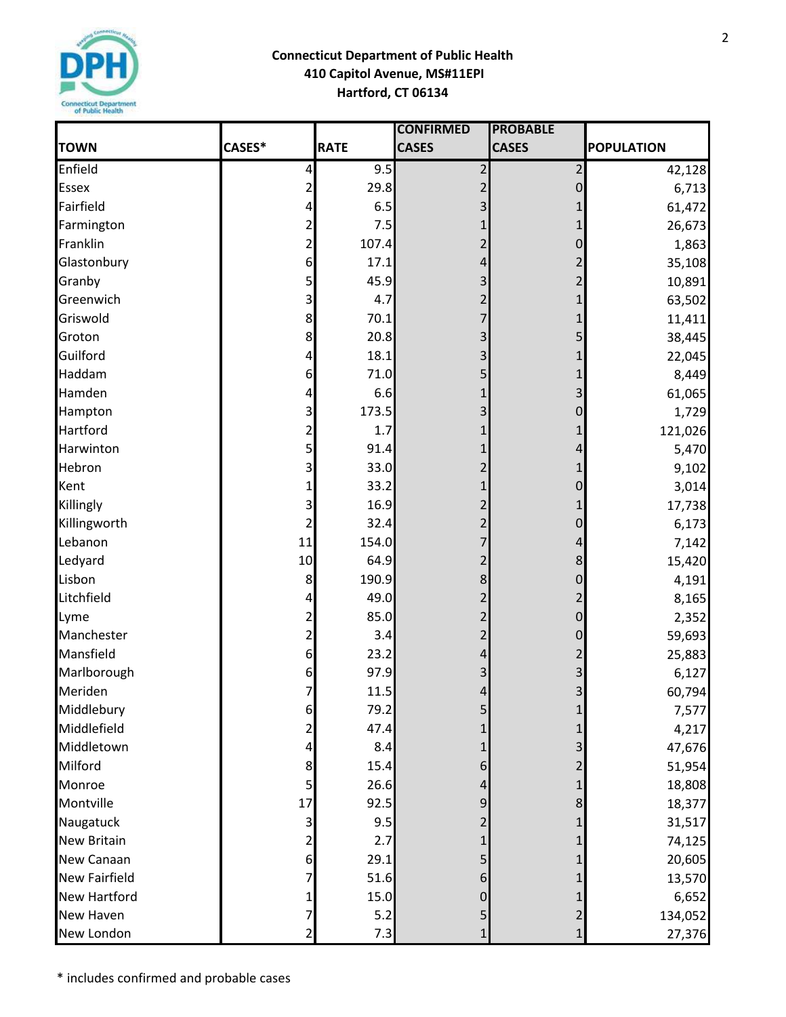

## **Connecticut Department of Public Health 410 Capitol Avenue, MS#11EPI Hartford, CT 06134**

|                      |                         |             | <b>CONFIRMED</b> | <b>PROBABLE</b> |                   |
|----------------------|-------------------------|-------------|------------------|-----------------|-------------------|
| <b>TOWN</b>          | CASES*                  | <b>RATE</b> | <b>CASES</b>     | <b>CASES</b>    | <b>POPULATION</b> |
| Enfield              | 4                       | 9.5         | $\overline{2}$   | $\overline{c}$  | 42,128            |
| <b>Essex</b>         | $\overline{\mathbf{c}}$ | 29.8        |                  | 0               | 6,713             |
| Fairfield            | 4                       | 6.5         | 3                | 1               | 61,472            |
| Farmington           | 2                       | 7.5         |                  | 1               | 26,673            |
| Franklin             | 2                       | 107.4       | 2                | 0               | 1,863             |
| Glastonbury          | 6                       | 17.1        | 4                | 2               | 35,108            |
| Granby               | 5 <sub>1</sub>          | 45.9        | 3                | 2               | 10,891            |
| Greenwich            | 3                       | 4.7         |                  | 1               | 63,502            |
| Griswold             | 8                       | 70.1        |                  |                 | 11,411            |
| Groton               | 8                       | 20.8        | 3                | 5               | 38,445            |
| Guilford             | 4                       | 18.1        | 3                |                 | 22,045            |
| Haddam               | 6                       | 71.0        |                  |                 | 8,449             |
| Hamden               | 4                       | 6.6         |                  | 3               | 61,065            |
| Hampton              | 3                       | 173.5       | 3                | 0               | 1,729             |
| Hartford             | 2                       | 1.7         |                  | 1               | 121,026           |
| Harwinton            | 5                       | 91.4        |                  | 4               | 5,470             |
| Hebron               | 3                       | 33.0        |                  | 1               | 9,102             |
| Kent                 | 1                       | 33.2        |                  | 0               | 3,014             |
| Killingly            | 3                       | 16.9        | 2                | 1               | 17,738            |
| Killingworth         | 2                       | 32.4        | $\overline{2}$   | 0               | 6,173             |
| Lebanon              | 11                      | 154.0       |                  | 4               | 7,142             |
| Ledyard              | 10                      | 64.9        | 2                | 8               | 15,420            |
| Lisbon               | 8                       | 190.9       | 8                | 0               | 4,191             |
| Litchfield           | 4                       | 49.0        | $\overline{2}$   | $\overline{2}$  | 8,165             |
| Lyme                 | 2                       | 85.0        | $\overline{2}$   | 0               | 2,352             |
| Manchester           | 2                       | 3.4         |                  | 0               | 59,693            |
| Mansfield            | 6                       | 23.2        | 4                | 2               | 25,883            |
| Marlborough          | 6                       | 97.9        | 3                | 3               | 6,127             |
| Meriden              | $\overline{7}$          | 11.5        | $\overline{4}$   | $\overline{3}$  | 60,794            |
| Middlebury           | 6                       | 79.2        | 5                |                 | 7,577             |
| Middlefield          | 2                       | 47.4        |                  |                 | 4,217             |
| Middletown           | 4                       | 8.4         | 1                |                 | 47,676            |
| Milford              | 8                       | 15.4        | 6                |                 | 51,954            |
| Monroe               | 5                       | 26.6        | 4                |                 | 18,808            |
| Montville            | 17                      | 92.5        | 9                | 8               | 18,377            |
| Naugatuck            | 3                       | 9.5         | $\overline{2}$   |                 | 31,517            |
| <b>New Britain</b>   | 2                       | 2.7         |                  |                 | 74,125            |
| New Canaan           | 6                       | 29.1        |                  |                 | 20,605            |
| <b>New Fairfield</b> | 7                       | 51.6        | 6                |                 | 13,570            |
| <b>New Hartford</b>  |                         | 15.0        | $\overline{0}$   |                 | 6,652             |
| New Haven            | 7                       | 5.2         | 5                | 2               | 134,052           |
| New London           | 2                       | 7.3         |                  | $\mathbf 1$     | 27,376            |

2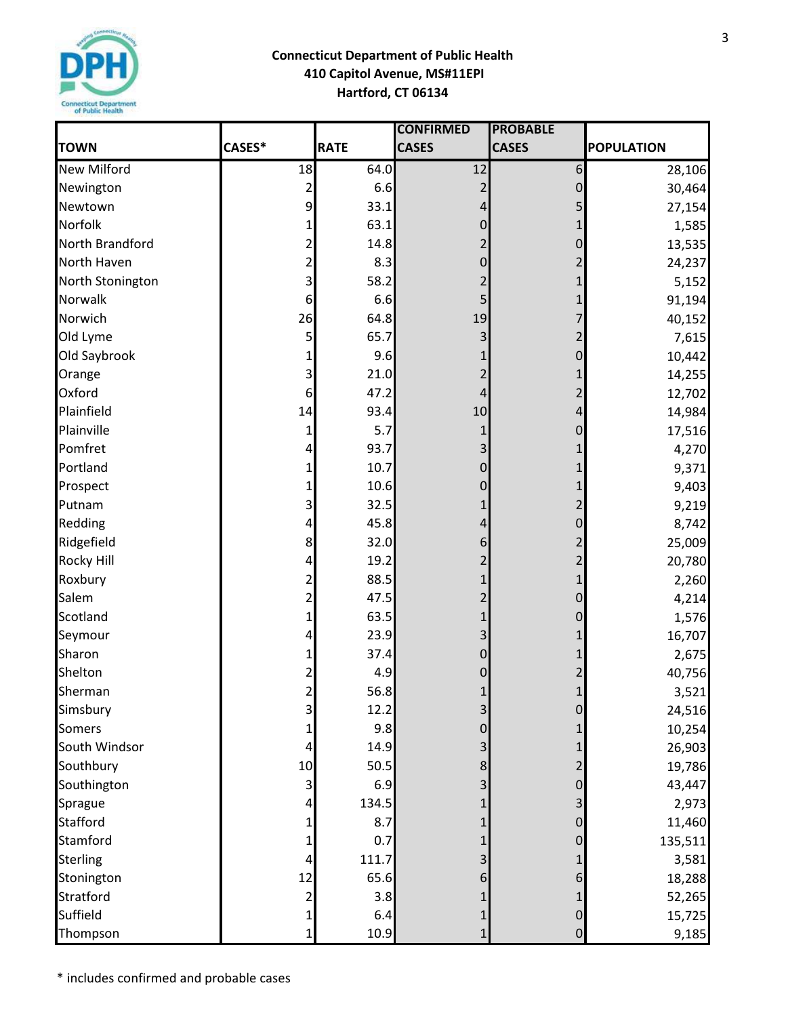

## **Connecticut Department of Public Health 410 Capitol Avenue, MS#11EPI Hartford, CT 06134**

|                    |                |             | <b>CONFIRMED</b> | <b>PROBABLE</b>  |                   |
|--------------------|----------------|-------------|------------------|------------------|-------------------|
| <b>TOWN</b>        | CASES*         | <b>RATE</b> | <b>CASES</b>     | <b>CASES</b>     | <b>POPULATION</b> |
| <b>New Milford</b> | 18             | 64.0        | 12               | $\boldsymbol{6}$ | 28,106            |
| Newington          | 2              | 6.6         |                  | 0                | 30,464            |
| Newtown            | 9              | 33.1        | 4                | 5                | 27,154            |
| Norfolk            |                | 63.1        | $\overline{0}$   |                  | 1,585             |
| North Brandford    | 2              | 14.8        | 2                | 0                | 13,535            |
| North Haven        | 2              | 8.3         | $\mathbf 0$      |                  | 24,237            |
| North Stonington   | 3              | 58.2        |                  |                  | 5,152             |
| Norwalk            | 6              | 6.6         |                  |                  | 91,194            |
| Norwich            | 26             | 64.8        | 19               |                  | 40,152            |
| Old Lyme           | 5              | 65.7        | 3                |                  | 7,615             |
| Old Saybrook       |                | 9.6         |                  | 0                | 10,442            |
| Orange             | 3              | 21.0        |                  |                  | 14,255            |
| Oxford             | 6              | 47.2        | 4                |                  | 12,702            |
| Plainfield         | 14             | 93.4        | 10               | 4                | 14,984            |
| Plainville         | 1              | 5.7         | 1                | 0                | 17,516            |
| Pomfret            | 4              | 93.7        | 3                |                  | 4,270             |
| Portland           | 1              | 10.7        | 0                |                  | 9,371             |
| Prospect           | 1              | 10.6        | 0                |                  | 9,403             |
| Putnam             | 3              | 32.5        |                  |                  | 9,219             |
| Redding            | 4              | 45.8        | 4                | 0                | 8,742             |
| Ridgefield         | 8              | 32.0        | 6                |                  | 25,009            |
| <b>Rocky Hill</b>  | 4              | 19.2        |                  |                  | 20,780            |
| Roxbury            | 2              | 88.5        |                  |                  | 2,260             |
| Salem              | 2              | 47.5        | 2                | 0                | 4,214             |
| Scotland           | 1              | 63.5        |                  | 0                | 1,576             |
| Seymour            | 4              | 23.9        |                  |                  | 16,707            |
| Sharon             | 1              | 37.4        | 0                |                  | 2,675             |
| Shelton            | 2              | 4.9         | 0                |                  | 40,756            |
| Sherman            | $\overline{2}$ | 56.8        |                  | $\mathbf{1}$     | 3,521             |
| Simsbury           | 3              | 12.2        | 3                | 0                | 24,516            |
| <b>Somers</b>      |                | 9.8         | 0                |                  | 10,254            |
| South Windsor      |                | 14.9        | 3                |                  | 26,903            |
| Southbury          | 10             | 50.5        | 8                |                  | 19,786            |
| Southington        | 3              | 6.9         |                  |                  | 43,447            |
| Sprague            | 4              | 134.5       |                  |                  | 2,973             |
| <b>Stafford</b>    |                | 8.7         |                  |                  | 11,460            |
| Stamford           |                | 0.7         |                  |                  | 135,511           |
| <b>Sterling</b>    |                | 111.7       |                  |                  | 3,581             |
| Stonington         | 12             | 65.6        | 6                |                  | 18,288            |
| Stratford          | 2              | 3.8         |                  |                  | 52,265            |
| Suffield           | 1              | 6.4         |                  | 0                | 15,725            |
| Thompson           |                | 10.9        |                  | $\overline{0}$   | 9,185             |